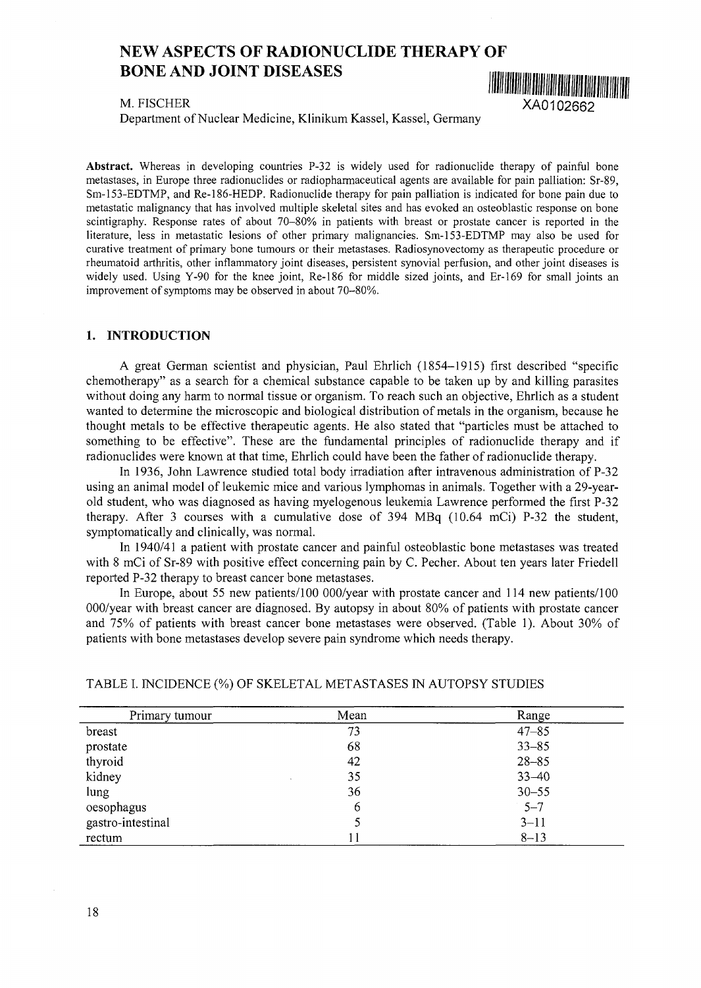# NEW ASPECTS OF RADIONUCLIDE THERAPY OF BONE AND JOINT DISEASES

M. FISCHER XA0102662

Department of Nuclear Medicine, Klinikum Kassel, Kassel, Germany

**Abstract.** Whereas in developing countries P-32 is widely used for radionuclide therapy of painful bone metastases, in Europe three radionuclides or radiopharmaceutical agents are available for pain palliation: Sr-89, Sm-153-EDTMP, and Re-186-HEDP. Radionuclide therapy for pain palliation is indicated for bone pain due to metastatic malignancy that has involved multiple skeletal sites and has evoked an osteoblastic response on bone scintigraphy. Response rates of about 70-80% in patients with breast or prostate cancer is reported in the literature, less in metastatic lesions of other primary malignancies. Sm-153-EDTMP may also be used for curative treatment of primary bone tumours or their metastases. Radiosynovectomy as therapeutic procedure or rheumatoid arthritis, other inflammatory joint diseases, persistent synovial perfusion, and other joint diseases is widely used. Using Y-90 for the knee joint, Re-186 for middle sized joints, and Er-169 for small joints an improvement of symptoms may be observed in about 70-80%.

#### **1. INTRODUCTION**

A great German scientist and physician, Paul Ehrlich (1854-1915) first described "specific chemotherapy" as a search for a chemical substance capable to be taken up by and killing parasites without doing any harm to normal tissue or organism. To reach such an objective, Ehrlich as a student wanted to determine the microscopic and biological distribution of metals in the organism, because he thought metals to be effective therapeutic agents. He also stated that "particles must be attached to something to be effective". These are the fundamental principles of radionuclide therapy and if radionuclides were known at that time, Ehrlich could have been the father of radionuclide therapy.

In 1936, John Lawrence studied total body irradiation after intravenous administration of P-32 using an animal model of leukemic mice and various lymphomas in animals. Together with a 29-yearold student, who was diagnosed as having myelogenous leukemia Lawrence performed the first P-32 therapy. After 3 courses with a cumulative dose of 394 MBq (10.64 mCi) P-32 the student, symptomatically and clinically, was normal.

In 1940/41 a patient with prostate cancer and painful osteoblastic bone metastases was treated with 8 mCi of Sr-89 with positive effect concerning pain by C. Pecher. About ten years later Friedell reported P-32 therapy to breast cancer bone metastases.

In Europe, about 55 new patients/100 000/year with prostate cancer and 114 new patients/100 000/year with breast cancer are diagnosed. By autopsy in about 80% of patients with prostate cancer and 75% of patients with breast cancer bone metastases were observed. (Table 1). About 30% of patients with bone metastases develop severe pain syndrome which needs therapy.

| Primary tumour    | Mean | Range     |
|-------------------|------|-----------|
| breast            | 73   | $47 - 85$ |
| prostate          | 68   | $33 - 85$ |
| thyroid           | 42   | $28 - 85$ |
| kidney            | 35   | $33 - 40$ |
| lung              | 36   | $30 - 55$ |
| oesophagus        | 6    | $5 - 7$   |
| gastro-intestinal | 5    | $3 - 11$  |
| rectum            |      | $8 - 13$  |

## TABLE I. INCIDENCE (%) OF SKELETAL METASTASES IN AUTOPSY STUDIES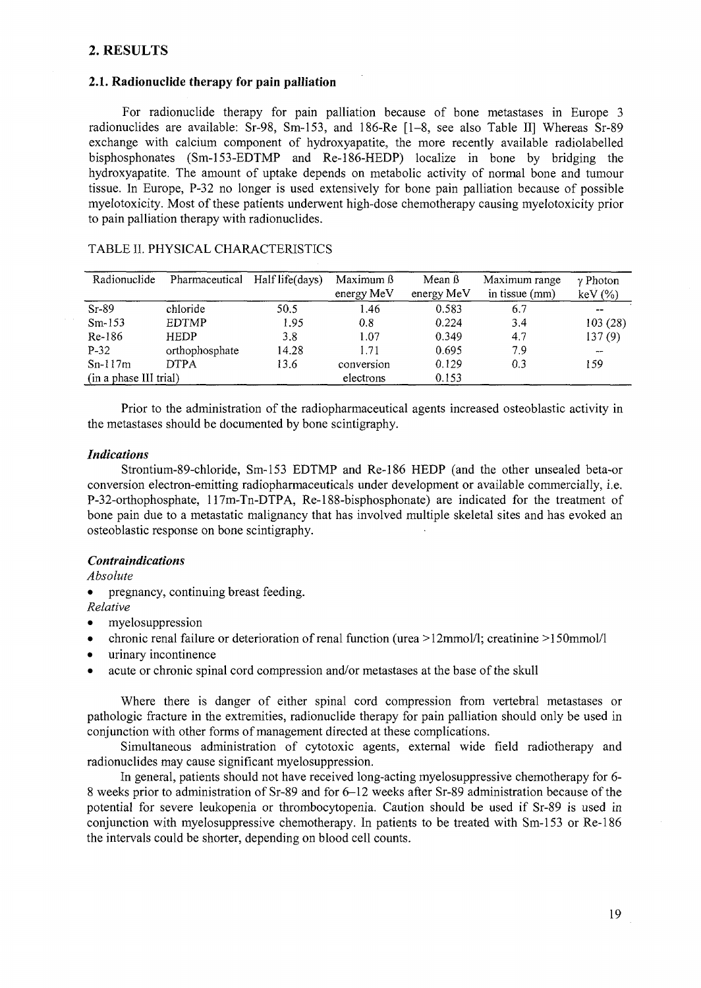# 2. RESULTS

# **2.1. Radionuclide therapy for pain palliation**

For radionuclide therapy for pain palliation because of bone metastases in Europe 3 radionuclides are available: Sr-98, Sm-153, and 186-Re [1-8, see also Table II] Whereas Sr-89 exchange with calcium component of hydroxyapatite, the more recently available radiolabelled bisphosphonates (Sm-153-EDTMP and Re-186-HEDP) localize in bone by bridging the hydroxyapatite. The amount of uptake depends on metabolic activity of normal bone and tumour tissue. In Europe, P-32 no longer is used extensively for bone pain palliation because of possible myelotoxicity. Most of these patients underwent high-dose chemotherapy causing myelotoxicity prior to pain palliation therapy with radionuclides.

| Radionuclide           | Pharmaceutical | Half life(days) | Maximum ß<br>energy MeV | Mean $\beta$<br>energy MeV | Maximum range<br>in tissue (mm) | $\gamma$ Photon<br>$keV$ $(\%)$ |
|------------------------|----------------|-----------------|-------------------------|----------------------------|---------------------------------|---------------------------------|
| $Sr-89$                | chloride       | 50.5            | 1.46                    | 0.583                      | 6.7                             | $- -$                           |
| $Sm-153$               | <b>EDTMP</b>   | 1.95            | 0.8                     | 0.224                      | 3.4                             | 103(28)                         |
| Re-186                 | <b>HEDP</b>    | 3.8             | 1.07                    | 0.349                      | 4.7                             | 137(9)                          |
| $P-32$                 | orthophosphate | 14.28           | 1.71                    | 0.695                      | 7.9                             | $-$                             |
| $Sn-117m$              | <b>DTPA</b>    | 13.6            | conversion              | 0.129                      | 0.3                             | 159                             |
| (in a phase III trial) |                |                 | electrons               | 0.153                      |                                 |                                 |

## TABLE II. PHYSICAL CHARACTERISTICS

Prior to the administration of the radiopharmaceutical agents increased osteoblastic activity in the metastases should be documented by bone scintigraphy.

#### *Indications*

Strontium-89-chloride, Sm-153 EDTMP and Re-186 HEDP (and the other unsealed beta-or conversion electron-emitting radiopharmaceuticals under development or available commercially, i.e. P-32-orthophosphate, 117m-Tn-DTPA, Re-188-bisphosphonate) are indicated for the treatment of bone pain due to a metastatic malignancy that has involved multiple skeletal sites and has evoked an osteoblastic response on bone scintigraphy.

## *Contraindications*

*Absolute*

• pregnancy, continuing breast feeding.

*Relative*

- myelosuppression
- chronic renal failure or deterioration of renal function (urea >12mmol/l; creatinine >150mmol/l
- urinary incontinence
- acute or chronic spinal cord compression and/or metastases at the base of the skull

Where there is danger of either spinal cord compression from vertebral metastases or pathologic fracture in the extremities, radionuclide therapy for pain palliation should only be used in conjunction with other forms of management directed at these complications.

Simultaneous administration of cytotoxic agents, external wide field radiotherapy and radionuclides may cause significant myelosuppression.

In general, patients should not have received long-acting myelosuppressive chemotherapy for 6- 8 weeks prior to administration of Sr-89 and for 6-12 weeks after Sr-89 administration because of the potential for severe leukopenia or thrombocytopenia. Caution should be used if Sr-89 is used in conjunction with myelosuppressive chemotherapy. In patients to be treated with Sm-153 or Re-186 the intervals could be shorter, depending on blood cell counts.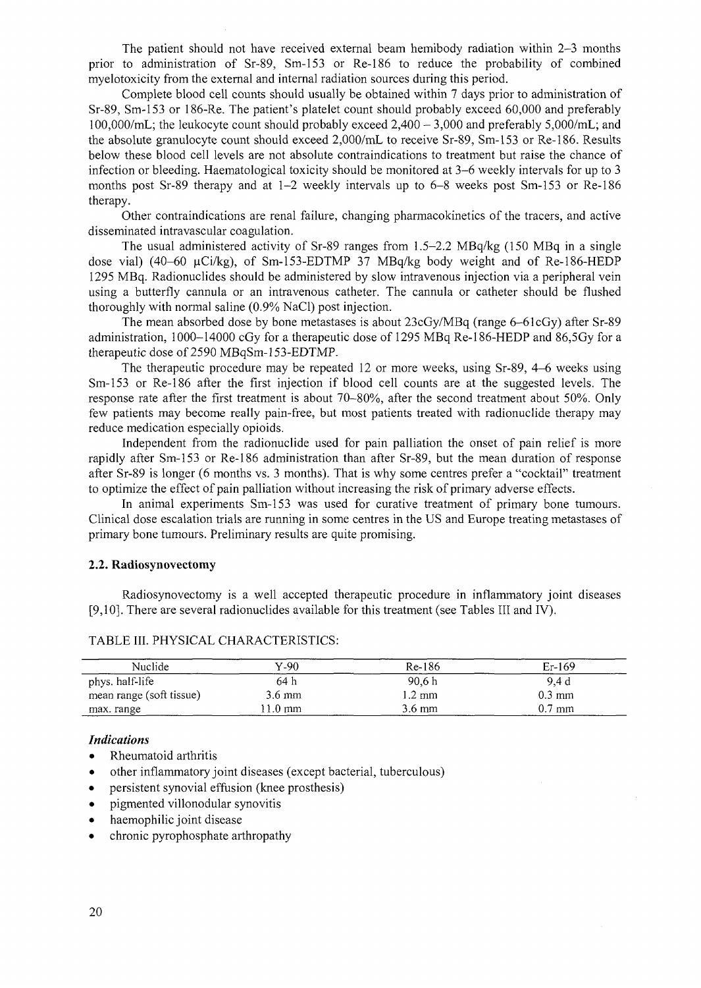The patient should not have received external beam hemibody radiation within 2-3 months prior to administration of Sr-89, Sm-153 or Re-186 to reduce the probability of combined myelotoxicity from the external and internal radiation sources during this period.

Complete blood cell counts should usually be obtained within 7 days prior to administration of Sr-89, Sm-153 or 186-Re. The patient's platelet count should probably exceed 60,000 and preferably 100,000/mL; the leukocyte count should probably exceed  $2,400 - 3,000$  and preferably  $5,000$ /mL; and the absolute granulocyte count should exceed 2,000/mL to receive Sr-89, Sm-153 or Re-186. Results below these blood cell levels are not absolute contraindications to treatment but raise the chance of infection or bleeding. Haematological toxicity should be monitored at 3-6 weekly intervals for up to 3 months post Sr-89 therapy and at  $1-2$  weekly intervals up to  $6-8$  weeks post Sm-153 or Re-186 therapy.

Other contraindications are renal failure, changing pharmacokinetics of the tracers, and active disseminated intravascular coagulation.

The usual administered activity of Sr-89 ranges from 1.5-2.2 MBq/kg (150 MBq in a single dose vial) (40–60  $\mu$ Ci/kg), of Sm-153-EDTMP 37 MBq/kg body weight and of Re-186-HEDP 1295 MBq. Radionuclides should be administered by slow intravenous injection via a peripheral vein using a butterfly cannula or an intravenous catheter. The cannula or catheter should be flushed thoroughly with normal saline (0.9% NaCl) post injection.

The mean absorbed dose by bone metastases is about 23cGy/MBq (range 6-61cGy) after Sr-89 administration, 1000-14000 cGy for a therapeutic dose of 1295 MBq Re-186-HEDP and 86,5Gy for a therapeutic dose of 2590 MBqSm-153-EDTMP.

The therapeutic procedure may be repeated 12 or more weeks, using Sr-89, 4-6 weeks using Sm-153 or Re-186 after the first injection if blood cell counts are at the suggested levels. The response rate after the first treatment is about 70-80%, after the second treatment about 50%. Only few patients may become really pain-free, but most patients treated with radionuclide therapy may reduce medication especially opioids.

Independent from the radionuclide used for pain palliation the onset of pain relief is more rapidly after Sm-153 or Re-186 administration than after Sr-89, but the mean duration of response after Sr-89 is longer (6 months vs. 3 months). That is why some centres prefer a "cocktail" treatment to optimize the effect of pain palliation without increasing the risk of primary adverse effects.

In animal experiments Sm-153 was used for curative treatment of primary bone tumours. Clinical dose escalation trials are running in some centres in the US and Europe treating metastases of primary bone tumours. Preliminary results are quite promising.

#### **2.2. Radiosynovectomy**

Radiosynovectomy is a well accepted therapeutic procedure in inflammatory joint diseases [9,10]. There are several radionuclides available for this treatment (see Tables III and IV).

| Nuclide                  | Y-90             | Re-186           | $Er-169$         |
|--------------------------|------------------|------------------|------------------|
| phys. half-life          | 64 h             | 90.6 h           | 9.4 d            |
| mean range (soft tissue) | $3.6 \text{ mm}$ | 1.2 mm           | $0.3 \text{ mm}$ |
| max. range               | $1.0 \text{ mm}$ | $3.6 \text{ mm}$ | $0.7$ mm         |

#### TABLE III. PHYSICAL CHARACTERISTICS:

## *Indications*

- Rheumatoid arthritis
- other inflammatory joint diseases (except bacterial, tuberculous)
- persistent synovial effusion (knee prosthesis)
- pigmented villonodular synovitis
- haemophilic joint disease
- chronic pyrophosphate arthropathy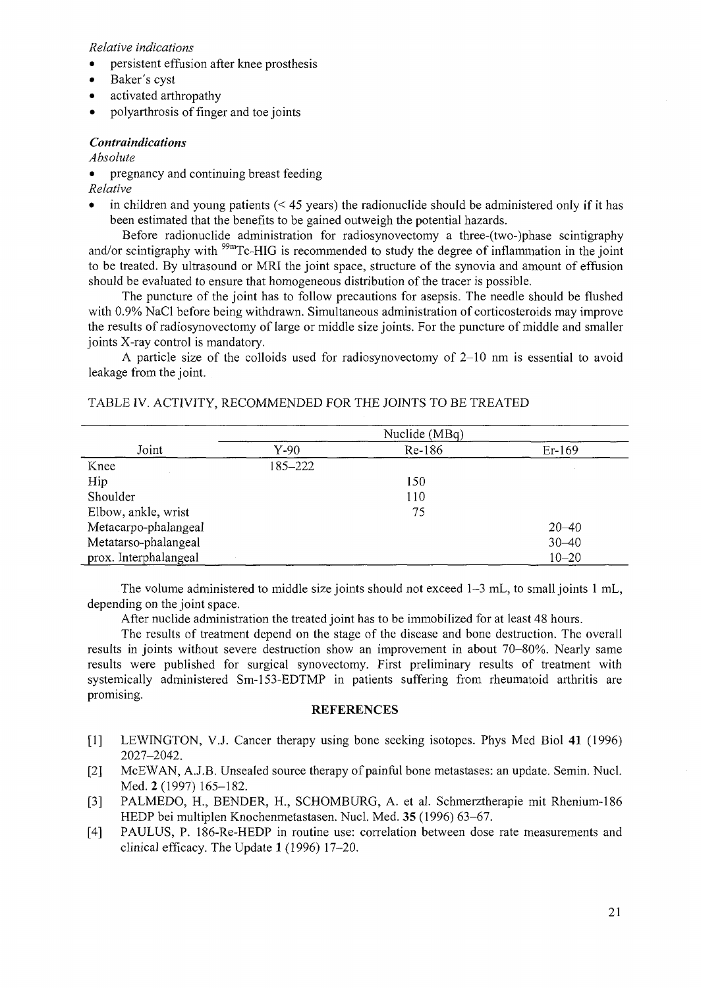*Relative indications*

- persistent effusion after knee prosthesis
- Baker's cyst
- activated arthropathy
- polyarthrosis of finger and toe joints

## *Contraindications*

*Absolute*

*•* pregnancy and continuing breast feeding

*Relative*

in children and young patients  $(< 45$  years) the radionuclide should be administered only if it has been estimated that the benefits to be gained outweigh the potential hazards.

Before radionuclide administration for radiosynovectomy a three-(two-)phase scintigraphy and/or scintigraphy with <sup>99m</sup>Tc-HIG is recommended to study the degree of inflammation in the joint to be treated. By ultrasound or MRI the joint space, structure of the synovia and amount of effusion should be evaluated to ensure that homogeneous distribution of the tracer is possible.

The puncture of the joint has to follow precautions for asepsis. The needle should be flushed with 0.9% NaCl before being withdrawn. Simultaneous administration of corticosteroids may improve the results of radiosynovectomy of large or middle size joints. For the puncture of middle and smaller joints X-ray control is mandatory.

A particle size of the colloids used for radiosynovectomy of 2-10 nm is essential to avoid leakage from the joint.

| Joint                 | Nuclide (MBq) |        |           |  |
|-----------------------|---------------|--------|-----------|--|
|                       | Y-90          | Re-186 | Er-169    |  |
| Knee                  | 185-222       |        |           |  |
| Hip                   |               | 150    |           |  |
| Shoulder              |               | 110    |           |  |
| Elbow, ankle, wrist   |               | 75     |           |  |
| Metacarpo-phalangeal  |               |        | $20 - 40$ |  |
| Metatarso-phalangeal  |               |        | $30 - 40$ |  |
| prox. Interphalangeal |               |        | $10 - 20$ |  |

## TABLE IV. ACTIVITY, RECOMMENDED FOR THE JOINTS TO BE TREATED

The volume administered to middle size joints should not exceed 1-3 mL, to small joints 1 mL, depending on the joint space.

After nuclide administration the treated joint has to be immobilized for at least 48 hours.

The results of treatment depend on the stage of the disease and bone destruction. The overall results in joints without severe destruction show an improvement in about 70-80%. Nearly same results were published for surgical synovectomy. First preliminary results of treatment with systemically administered Sm-153-EDTMP in patients suffering from rheumatoid arthritis are promising.

#### **REFERENCES**

- [1] LEWINGTON, V.J. Cancer therapy using bone seeking isotopes. Phys Med Biol 41 (1996) 2027-2042.
- [2] McEWAN, A.J.B. Unsealed source therapy of painful bone metastases: an update. Semin. Nucl. Med. 2 (1997) 165-182.
- [3] PALMEDO, H., BENDER, H., SCHOMBURG, A. et al. Schmerztherapie mit Rhenium-186 HEDP bei multiplen Knochenmetastasen. Nucl. Med. 35 (1996) 63-67.
- [4] PAULUS, P. 186-Re-HEDP in routine use: correlation between dose rate measurements and clinical efficacy. The Update 1 (1996) 17-20.